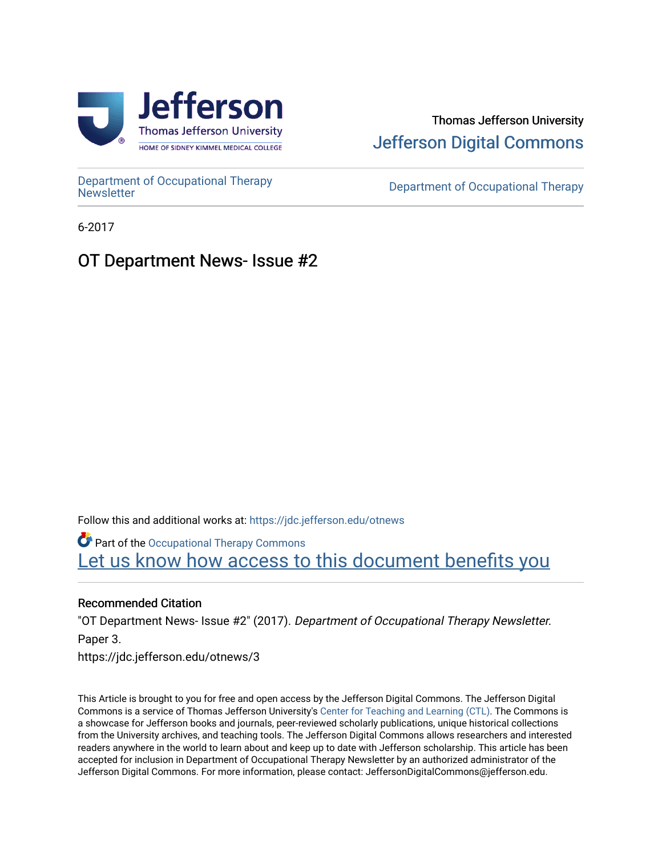

### Thomas Jefferson University [Jefferson Digital Commons](https://jdc.jefferson.edu/)

[Department of Occupational Therapy](https://jdc.jefferson.edu/otnews) 

Department of Occupational Therapy

6-2017

### OT Department News- Issue #2

Follow this and additional works at: [https://jdc.jefferson.edu/otnews](https://jdc.jefferson.edu/otnews?utm_source=jdc.jefferson.edu%2Fotnews%2F3&utm_medium=PDF&utm_campaign=PDFCoverPages) Part of the [Occupational Therapy Commons](http://network.bepress.com/hgg/discipline/752?utm_source=jdc.jefferson.edu%2Fotnews%2F3&utm_medium=PDF&utm_campaign=PDFCoverPages)  Let us know how access to this document benefits you

#### Recommended Citation

"OT Department News- Issue #2" (2017). Department of Occupational Therapy Newsletter. Paper 3. https://jdc.jefferson.edu/otnews/3

This Article is brought to you for free and open access by the Jefferson Digital Commons. The Jefferson Digital Commons is a service of Thomas Jefferson University's [Center for Teaching and Learning \(CTL\)](http://www.jefferson.edu/university/teaching-learning.html/). The Commons is a showcase for Jefferson books and journals, peer-reviewed scholarly publications, unique historical collections from the University archives, and teaching tools. The Jefferson Digital Commons allows researchers and interested readers anywhere in the world to learn about and keep up to date with Jefferson scholarship. This article has been accepted for inclusion in Department of Occupational Therapy Newsletter by an authorized administrator of the Jefferson Digital Commons. For more information, please contact: JeffersonDigitalCommons@jefferson.edu.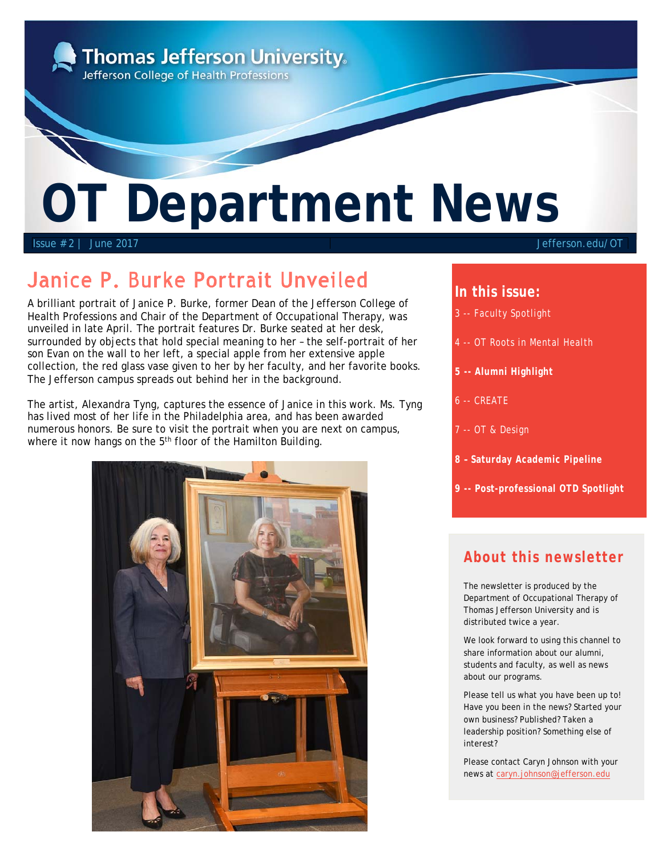

# Janice P. Burke Portrait Unveiled

A brilliant portrait of Janice P. Burke, former Dean of the Jefferson College of Health Professions and Chair of the Department of Occupational Therapy, was unveiled in late April. The portrait features Dr. Burke seated at her desk, surrounded by objects that hold special meaning to her – the self-portrait of her son Evan on the wall to her left, a special apple from her extensive apple collection, the red glass vase given to her by her faculty, and her favorite books. The Jefferson campus spreads out behind her in the background.

The artist, Alexandra Tyng, captures the essence of Janice in this work. Ms. Tyng has lived most of her life in the Philadelphia area, and has been awarded numerous honors. Be sure to visit the portrait when you are next on campus, where it now hangs on the 5<sup>th</sup> floor of the Hamilton Building.



#### **In this issue:**

- 3 -- Faculty Spotlight
- 4 -- OT Roots in Mental Health
- **5 -- Alumni Highlight**
- 6 -- CREATE
- 7 -- OT & Design
- **8 Saturday Academic Pipeline**
- **9 -- Post-professional OTD Spotlight**

### **About this newsletter**

The newsletter is produced by the Department of Occupational Therapy of Thomas Jefferson University and is distributed twice a year.

We look forward to using this channel to share information about our alumni, students and faculty, as well as news about our programs.

Please tell us what you have been up to! Have you been in the news? Started your own business? Published? Taken a leadership position? Something else of interest?

Please contact Caryn Johnson with your news at caryn.johnson@jefferson.edu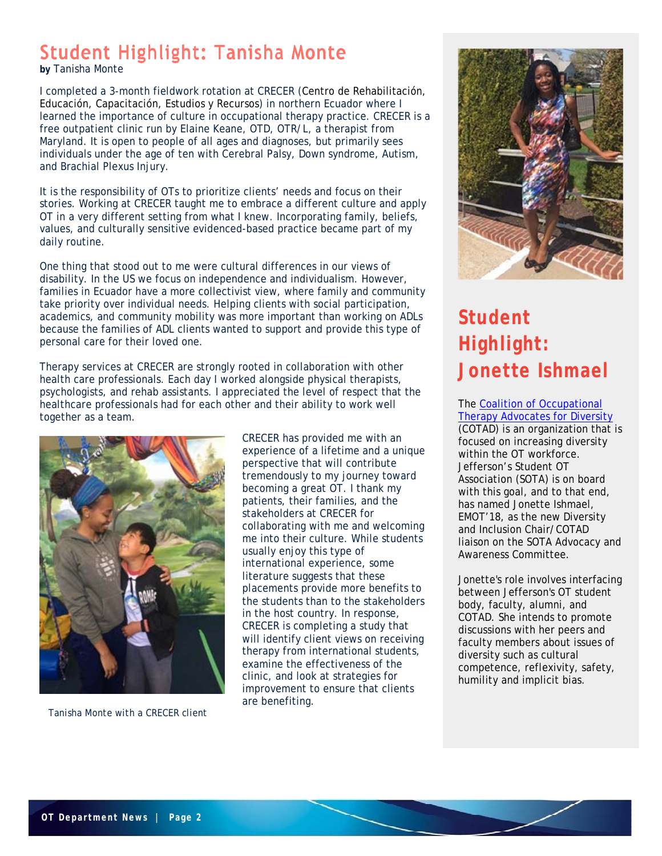# Student Highlight: Tanisha Monte

**by** Tanisha Monte

I completed a 3-month fieldwork rotation at CRECER (Centro de Rehabilitación, Educación, Capacitación, Estudios y Recursos) in northern Ecuador where I learned the importance of culture in occupational therapy practice. CRECER is a free outpatient clinic run by Elaine Keane, OTD, OTR/L, a therapist from Maryland. It is open to people of all ages and diagnoses, but primarily sees individuals under the age of ten with Cerebral Palsy, Down syndrome, Autism, and Brachial Plexus Injury.

It is the responsibility of OTs to prioritize clients' needs and focus on their stories. Working at CRECER taught me to embrace a different culture and apply OT in a very different setting from what I knew. Incorporating family, beliefs, values, and culturally sensitive evidenced-based practice became part of my daily routine.

One thing that stood out to me were cultural differences in our views of disability. In the US we focus on independence and individualism. However, families in Ecuador have a more collectivist view, where family and community take priority over individual needs. Helping clients with social participation, academics, and community mobility was more important than working on ADLs because the families of ADL clients wanted to support and provide this type of personal care for their loved one.

Therapy services at CRECER are strongly rooted in collaboration with other health care professionals. Each day I worked alongside physical therapists, psychologists, and rehab assistants. I appreciated the level of respect that the healthcare professionals had for each other and their ability to work well together as a team.



*Tanisha Monte with a CRECER client*

CRECER has provided me with an experience of a lifetime and a unique perspective that will contribute tremendously to my journey toward becoming a great OT. I thank my patients, their families, and the stakeholders at CRECER for collaborating with me and welcoming me into their culture. While students usually enjoy this type of international experience, some literature suggests that these placements provide more benefits to the students than to the stakeholders in the host country. In response, CRECER is completing a study that will identify client views on receiving therapy from international students, examine the effectiveness of the clinic, and look at strategies for improvement to ensure that clients are benefiting.



# **Student Highlight: Jonette Ishmael**

#### The Coalition of Occupational Therapy Advocates for Diversity

(COTAD) is an organization that is focused on increasing diversity within the OT workforce. Jefferson's Student OT Association (SOTA) is on board with this goal, and to that end, has named Jonette Ishmael, EMOT'18, as the new Diversity and Inclusion Chair/COTAD liaison on the SOTA Advocacy and Awareness Committee.

Jonette's role involves interfacing between Jefferson's OT student body, faculty, alumni, and COTAD. She intends to promote discussions with her peers and faculty members about issues of diversity such as cultural competence, reflexivity, safety, humility and implicit bias.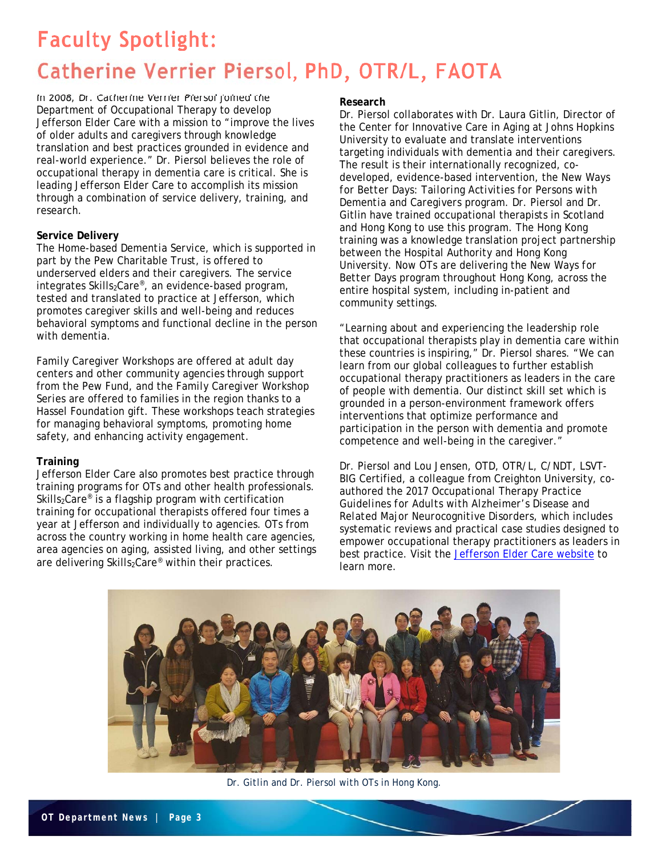# **Faculty Spotlight:** Catherine Verrier Piersol, PhD, OTR/L, FAOTA

 Department of Occupational Therapy to develop In 2008, Dr. Catherine Verrier Piersol joined the Jefferson Elder Care with a mission to "improve the lives of older adults and caregivers through knowledge translation and best practices grounded in evidence and real-world experience." Dr. Piersol believes the role of occupational therapy in dementia care is critical. She is leading Jefferson Elder Care to accomplish its mission through a combination of service delivery, training, and research.

#### **Service Delivery**

The *Home-based Dementia Service,* which is supported in part by the Pew Charitable Trust, is offered to underserved elders and their caregivers. The service integrates Skills<sub>2</sub>Care<sup>®</sup>, an evidence-based program, tested and translated to practice at Jefferson, which promotes caregiver skills and well-being and reduces behavioral symptoms and functional decline in the person with dementia.

*Family Caregiver Workshops* are offered at adult day centers and other community agencies through support from the Pew Fund, and the *Family Caregiver Workshop Series* are offered to families in the region thanks to a Hassel Foundation gift. These workshops teach strategies for managing behavioral symptoms, promoting home safety, and enhancing activity engagement.

#### **Training**

Jefferson Elder Care also promotes best practice through training programs for OTs and other health professionals.  $Skills_2Care^*$  is a flagship program with certification training for occupational therapists offered four times a year at Jefferson and individually to agencies. OTs from across the country working in home health care agencies, area agencies on aging, assisted living, and other settings are delivering Skills<sub>2</sub>Care<sup>®</sup> within their practices.

#### **Research**

Dr. Piersol collaborates with Dr. Laura Gitlin, Director of the Center for Innovative Care in Aging at Johns Hopkins University to evaluate and translate interventions targeting individuals with dementia and their caregivers. The result is their internationally recognized, codeveloped, evidence-based intervention, the *New Ways for Better Days: Tailoring Activities for Persons with Dementia and Caregivers* program. Dr. Piersol and Dr. Gitlin have trained occupational therapists in Scotland and Hong Kong to use this program. The Hong Kong training was a knowledge translation project partnership between the Hospital Authority and Hong Kong University. Now OTs are delivering the *New Ways for Better Days* program throughout Hong Kong, across the entire hospital system, including in-patient and community settings.

"Learning about and experiencing the leadership role that occupational therapists play in dementia care within these countries is inspiring," Dr. Piersol shares. "We can learn from our global colleagues to further establish occupational therapy practitioners as leaders in the care of people with dementia. Our distinct skill set which is grounded in a person-environment framework offers interventions that optimize performance and participation in the person with dementia and promote competence and well-being in the caregiver."

Dr. Piersol and Lou Jensen, OTD, OTR/L, C/NDT, LSVT-BIG Certified, a colleague from Creighton University, coauthored the 2017 *Occupational Therapy Practice Guidelines for Adults with Alzheimer's Disease and Related Major Neurocognitive Disorders*, which includes systematic reviews and practical case studies designed to empower occupational therapy practitioners as leaders in best practice. Visit the Jefferson Elder Care website to learn more.



*Dr. Gitlin and Dr. Piersol with OTs in Hong Kong.*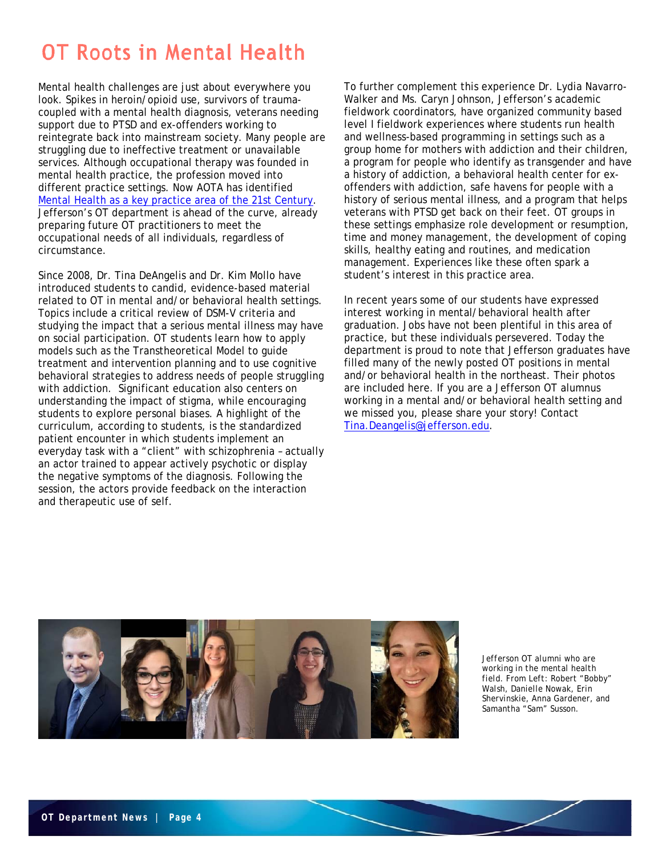# OT Roots in Mental Health

Mental health challenges are just about everywhere you look. Spikes in heroin/opioid use, survivors of traumacoupled with a mental health diagnosis, veterans needing support due to PTSD and ex-offenders working to reintegrate back into mainstream society. Many people are struggling due to ineffective treatment or unavailable services. Although occupational therapy was founded in mental health practice, the profession moved into different practice settings. Now AOTA has identified Mental Health as a key practice area of the 21st Century. Jefferson's OT department is ahead of the curve, already preparing future OT practitioners to meet the occupational needs of all individuals, regardless of circumstance.

Since 2008, Dr. Tina DeAngelis and Dr. Kim Mollo have introduced students to candid, evidence-based material related to OT in mental and/or behavioral health settings. Topics include a critical review of DSM-V criteria and studying the impact that a serious mental illness may have on social participation. OT students learn how to apply models such as the Transtheoretical Model to guide treatment and intervention planning and to use cognitive behavioral strategies to address needs of people struggling with addiction. Significant education also centers on understanding the impact of stigma, while encouraging students to explore personal biases. A highlight of the curriculum, according to students, is the standardized patient encounter in which students implement an everyday task with a "client" with schizophrenia – actually an actor trained to appear actively psychotic or display the negative symptoms of the diagnosis. Following the session, the actors provide feedback on the interaction and therapeutic use of self.

To further complement this experience Dr. Lydia Navarro-Walker and Ms. Caryn Johnson, Jefferson's academic fieldwork coordinators, have organized community based level I fieldwork experiences where students run health and wellness-based programming in settings such as a group home for mothers with addiction and their children, a program for people who identify as transgender and have a history of addiction, a behavioral health center for exoffenders with addiction, safe havens for people with a history of serious mental illness, and a program that helps veterans with PTSD get back on their feet. OT groups in these settings emphasize role development or resumption, time and money management, the development of coping skills, healthy eating and routines, and medication management. Experiences like these often spark a student's interest in this practice area.

In recent years some of our students have expressed interest working in mental/behavioral health after graduation. Jobs have not been plentiful in this area of practice, but these individuals persevered. Today the department is proud to note that Jefferson graduates have filled many of the newly posted OT positions in mental and/or behavioral health in the northeast. Their photos are included here. If you are a Jefferson OT alumnus working in a mental and/or behavioral health setting and we missed you, please share your story! Contact Tina.Deangelis@jefferson.edu.



*Jefferson OT alumni who are working in the mental health field. From Left: Robert "Bobby" Walsh, Danielle Nowak, Erin Shervinskie, Anna Gardener, and Samantha "Sam" Susson.*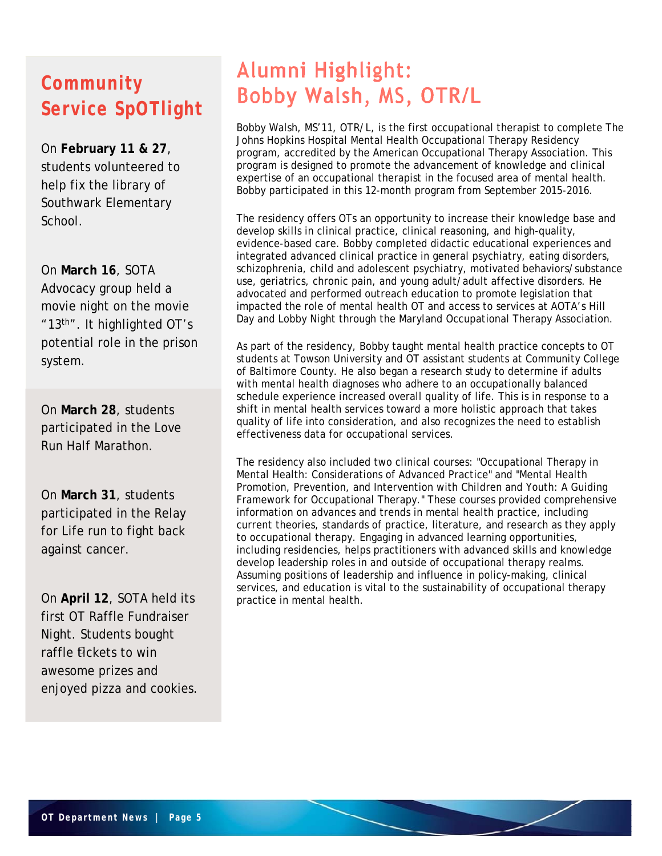## **Community Service SpOTlight**

On **February 11 & 27**, students volunteered to help fix the library of Southwark Elementary School.

On **March 16**, SOTA Advocacy group held a movie night on the movie "13th". It highlighted OT's potential role in the prison system.

On **March 28**, students participated in the Love Run Half Marathon.

On **March 31**, students participated in the Relay for Life run to fight back against cancer.

raffle *fickets* to win  awesome prizes and On **April 12**, SOTA held its first OT Raffle Fundraiser Night. Students bought enjoyed pizza and cookies.

# Alumni Highlight: Bobby Walsh, MS, OTR/L

Bobby Walsh, MS'11, OTR/L, is the first occupational therapist to complete The Johns Hopkins Hospital Mental Health Occupational Therapy Residency program, accredited by the American Occupational Therapy Association. This program is designed to promote the advancement of knowledge and clinical expertise of an occupational therapist in the focused area of mental health. Bobby participated in this 12-month program from September 2015-2016.

The residency offers OTs an opportunity to increase their knowledge base and develop skills in clinical practice, clinical reasoning, and high-quality, evidence-based care. Bobby completed didactic educational experiences and integrated advanced clinical practice in general psychiatry, eating disorders, schizophrenia, child and adolescent psychiatry, motivated behaviors/substance use, geriatrics, chronic pain, and young adult/adult affective disorders. He advocated and performed outreach education to promote legislation that impacted the role of mental health OT and access to services at AOTA's Hill Day and Lobby Night through the Maryland Occupational Therapy Association.

As part of the residency, Bobby taught mental health practice concepts to OT students at Towson University and OT assistant students at Community College of Baltimore County. He also began a research study to determine if adults with mental health diagnoses who adhere to an occupationally balanced schedule experience increased overall quality of life. This is in response to a shift in mental health services toward a more holistic approach that takes quality of life into consideration, and also recognizes the need to establish effectiveness data for occupational services.

The residency also included two clinical courses: "Occupational Therapy in Mental Health: Considerations of Advanced Practice" and "Mental Health Promotion, Prevention, and Intervention with Children and Youth: A Guiding Framework for Occupational Therapy." These courses provided comprehensive information on advances and trends in mental health practice, including current theories, standards of practice, literature, and research as they apply to occupational therapy. Engaging in advanced learning opportunities, including residencies, helps practitioners with advanced skills and knowledge develop leadership roles in and outside of occupational therapy realms. Assuming positions of leadership and influence in policy-making, clinical services, and education is vital to the sustainability of occupational therapy practice in mental health.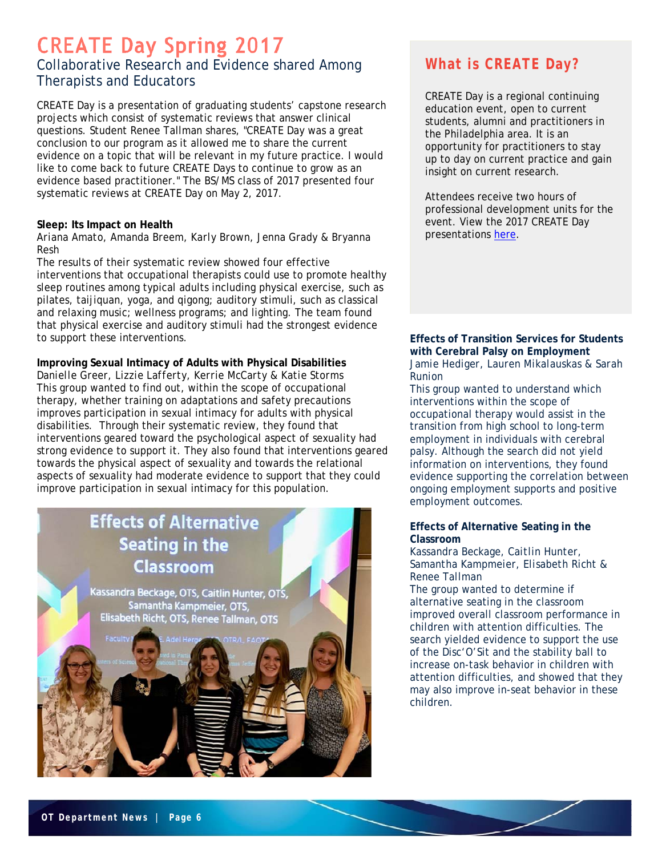### **CREATE Day Spring 2017** Collaborative Research and Evidence shared Among Therapists and Educators

CREATE Day is a presentation of graduating students' capstone research projects which consist of systematic reviews that answer clinical questions. Student Renee Tallman shares, "CREATE Day was a great conclusion to our program as it allowed me to share the current evidence on a topic that will be relevant in my future practice. I would like to come back to future CREATE Days to continue to grow as an evidence based practitioner." The BS/MS class of 2017 presented four systematic reviews at CREATE Day on May 2, 2017.

#### **Sleep: Its Impact on Health**

#### *Ariana Amato, Amanda Breem, Karly Brown, Jenna Grady & Bryanna Resh*

The results of their systematic review showed four effective interventions that occupational therapists could use to promote healthy sleep routines among typical adults including physical exercise, such as pilates, taijiquan, yoga, and qigong; auditory stimuli, such as classical and relaxing music; wellness programs; and lighting. The team found that physical exercise and auditory stimuli had the strongest evidence to support these interventions.

#### **Improving Sexual Intimacy of Adults with Physical Disabilities**

*Danielle Greer, Lizzie Lafferty, Kerrie McCarty & Katie Storms*  This group wanted to find out, within the scope of occupational therapy, whether training on adaptations and safety precautions improves participation in sexual intimacy for adults with physical disabilities. Through their systematic review, they found that interventions geared toward the psychological aspect of sexuality had strong evidence to support it. They also found that interventions geared towards the physical aspect of sexuality and towards the relational aspects of sexuality had moderate evidence to support that they could improve participation in sexual intimacy for this population.

### **Effects of Alternative Seating in the** Classroom

Kassandra Beckage, OTS, Caitlin Hunter, OTS, Samantha Kampmeier, OTS, Elisabeth Richt, OTS, Renee Tallman, OTS

### **What is CREATE Day?**

CREATE Day is a regional continuing education event, open to current students, alumni and practitioners in the Philadelphia area. It is an opportunity for practitioners to stay up to day on current practice and gain insight on current research.

Attendees receive two hours of professional development units for the event. View the 2017 CREATE Day presentations here.

#### **Effects of Transition Services for Students with Cerebral Palsy on Employment**  *Jamie Hediger, Lauren Mikalauskas & Sarah Runion*

This group wanted to understand which interventions within the scope of occupational therapy would assist in the transition from high school to long-term employment in individuals with cerebral palsy. Although the search did not yield information on interventions, they found evidence supporting the correlation between ongoing employment supports and positive employment outcomes.

#### **Effects of Alternative Seating in the Classroom**

#### *Kassandra Beckage, Caitlin Hunter, Samantha Kampmeier, Elisabeth Richt & Renee Tallman*

The group wanted to determine if alternative seating in the classroom improved overall classroom performance in children with attention difficulties. The search yielded evidence to support the use of the Disc'O'Sit and the stability ball to increase on-task behavior in children with attention difficulties, and showed that they may also improve in-seat behavior in these children.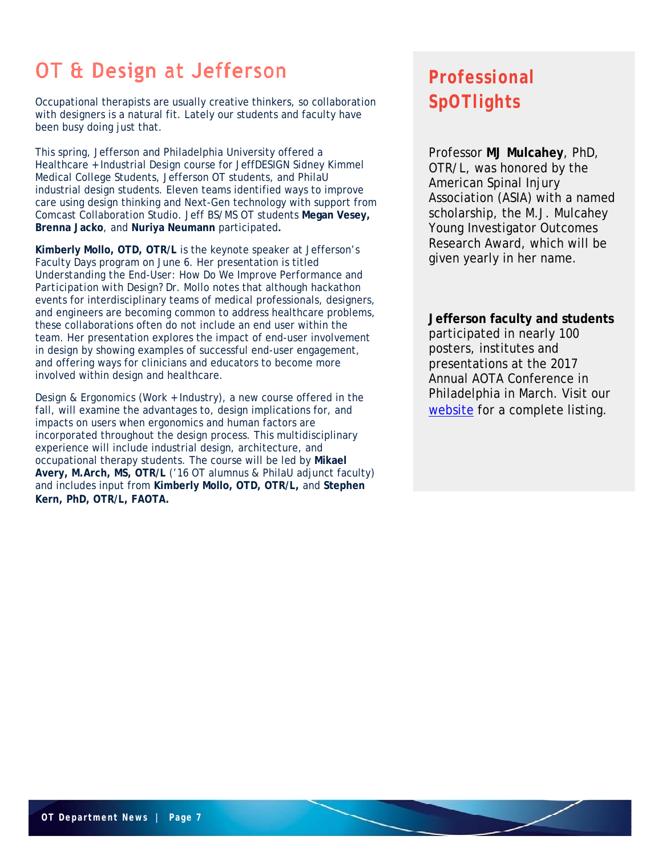# OT & Design at Jefferson

Occupational therapists are usually creative thinkers, so collaboration with designers is a natural fit. Lately our students and faculty have been busy doing just that.

This spring, Jefferson and Philadelphia University offered a Healthcare + Industrial Design course for JeffDESIGN Sidney Kimmel Medical College Students, Jefferson OT students, and PhilaU industrial design students. Eleven teams identified ways to improve care using design thinking and Next-Gen technology with support from Comcast Collaboration Studio. Jeff BS/MS OT students **Megan Vesey, Brenna Jacko**, and **Nuriya Neumann** participated**.**

**Kimberly Mollo, OTD, OTR/L** is the keynote speaker at Jefferson's Faculty Days program on June 6. Her presentation is titled *Understanding the End-User: How Do We Improve Performance and Participation with Design?* Dr. Mollo notes that although hackathon events for interdisciplinary teams of medical professionals, designers, and engineers are becoming common to address healthcare problems, these collaborations often do not include an end user within the team. Her presentation explores the impact of end-user involvement in design by showing examples of successful end-user engagement, and offering ways for clinicians and educators to become more involved within design and healthcare.

Design & Ergonomics (Work + Industry), a new course offered in the fall, will examine the advantages to, design implications for, and impacts on users when ergonomics and human factors are incorporated throughout the design process. This multidisciplinary experience will include industrial design, architecture, and occupational therapy students. The course will be led by **Mikael Avery, M.Arch, MS, OTR/L** ('16 OT alumnus & PhilaU adjunct faculty) and includes input from **Kimberly Mollo, OTD, OTR/L,** and **Stephen Kern, PhD, OTR/L, FAOTA.**

## **Professional SpOTlights**

Professor **MJ Mulcahey**, PhD, OTR/L, was honored by the American Spinal Injury Association (ASIA) with a named scholarship, the M.J. Mulcahey Young Investigator Outcomes Research Award, which will be given yearly in her name.

**Jefferson faculty and students** participated in nearly 100 posters, institutes and presentations at the 2017 Annual AOTA Conference in Philadelphia in March. Visit our website for a complete listing.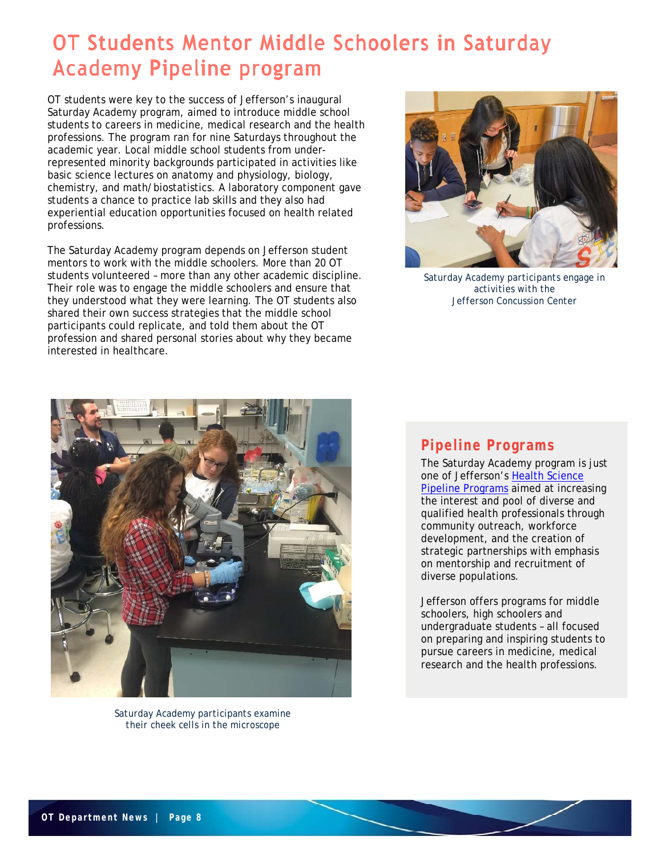## OT Students Mentor Middle Schoolers in Saturday **Academy Pipeline program**

OT students were key to the success of Jefferson's inaugural Saturday Academy program, aimed to introduce middle school students to careers in medicine, medical research and the health professions. The program ran for nine Saturdays throughout the academic year. Local middle school students from underrepresented minority backgrounds participated in activities like basic science lectures on anatomy and physiology, biology, chemistry, and math/biostatistics. A laboratory component gave students a chance to practice lab skills and they also had experiential education opportunities focused on health related professions.

The Saturday Academy program depends on Jefferson student mentors to work with the middle schoolers. More than 20 OT students volunteered – more than any other academic discipline. Their role was to engage the middle schoolers and ensure that they understood what they were learning. The OT students also shared their own success strategies that the middle school participants could replicate, and told them about the OT profession and shared personal stories about why they became interested in healthcare.



*Saturday Academy participants engage in activities with the Jefferson Concussion Center*



*Saturday Academy participants examine their cheek cells in the microscope*

### **Pipeline Programs**

The Saturday Academy program is just one of Jefferson's Health Science Pipeline Programs aimed at increasing the interest and pool of diverse and qualified health professionals through community outreach, workforce development, and the creation of strategic partnerships with emphasis on mentorship and recruitment of diverse populations.

Jefferson offers programs for middle schoolers, high schoolers and undergraduate students – all focused on preparing and inspiring students to pursue careers in medicine, medical research and the health professions.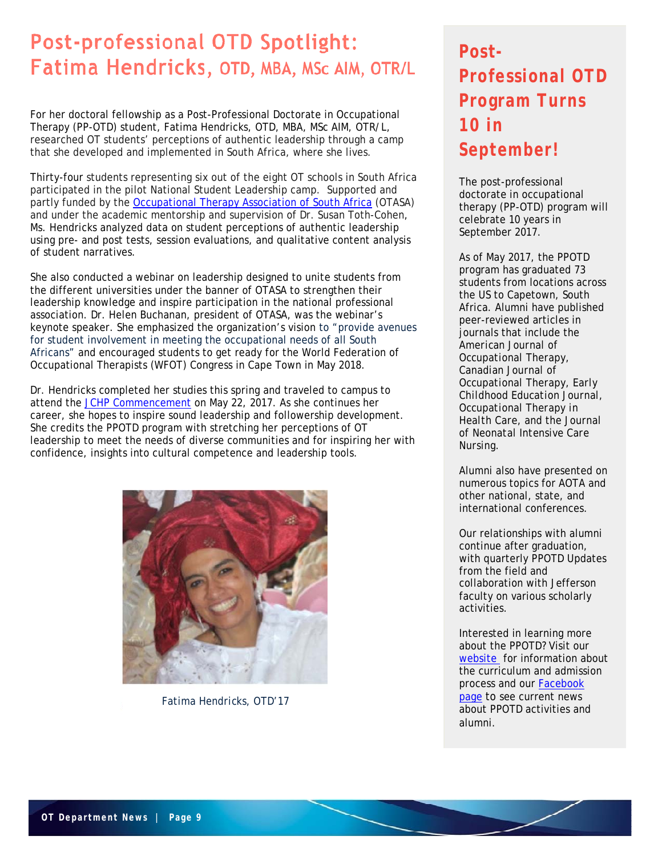## **Post-professional OTD Spotlight:** Fatima Hendricks, OTD, MBA, MSc AIM, OTR/L

For her doctoral fellowship as a Post-Professional Doctorate in Occupational Therapy (PP-OTD) student, Fatima Hendricks, OTD, MBA, MSc AIM, OTR/L, researched OT students' perceptions of authentic leadership through a camp that she developed and implemented in South Africa, where she lives.

Thirty-four students representing six out of the eight OT schools in South Africa participated in the pilot National Student Leadership camp. Supported and partly funded by the Occupational Therapy Association of South Africa (OTASA) and under the academic mentorship and supervision of Dr. Susan Toth-Cohen, Ms. Hendricks analyzed data on student perceptions of authentic leadership using pre- and post tests, session evaluations, and qualitative content analysis of student narratives.

She also conducted a webinar on leadership designed to unite students from the different universities under the banner of OTASA to strengthen their leadership knowledge and inspire participation in the national professional association. Dr. Helen Buchanan, president of OTASA, was the webinar's keynote speaker. She emphasized the organization's vision to "provide avenues for student involvement in meeting the occupational needs of all South Africans" and encouraged students to get ready for the World Federation of Occupational Therapists (WFOT) Congress in Cape Town in May 2018.

Dr. Hendricks completed her studies this spring and traveled to campus to attend the JCHP Commencement on May 22, 2017. As she continues her career, she hopes to inspire sound leadership and followership development. She credits the PPOTD program with stretching her perceptions of OT leadership to meet the needs of diverse communities and for inspiring her with confidence, insights into cultural competence and leadership tools.



*Fatima Hendricks, OTD'17*

## **Post-Professional OTD Program Turns 10 in September!**

The post-professional doctorate in occupational therapy (PP-OTD) program will celebrate 10 years in September 2017.

As of May 2017, the PPOTD program has graduated 73 students from locations across the US to Capetown, South Africa. Alumni have published peer-reviewed articles in journals that include the *American Journal of Occupational Therapy*, *Canadian Journal of Occupational Therapy*, *Early Childhood Education Journal*, *Occupational Therapy in Health Care*, and the *Journal of Neonatal Intensive Care Nursing*.

Alumni also have presented on numerous topics for AOTA and other national, state, and international conferences.

Our relationships with alumni continue after graduation, with quarterly PPOTD Updates from the field and collaboration with Jefferson faculty on various scholarly activities.

Interested in learning more about the PPOTD? Visit our website for information about the curriculum and admission process and our Facebook page to see current news about PPOTD activities and alumni.